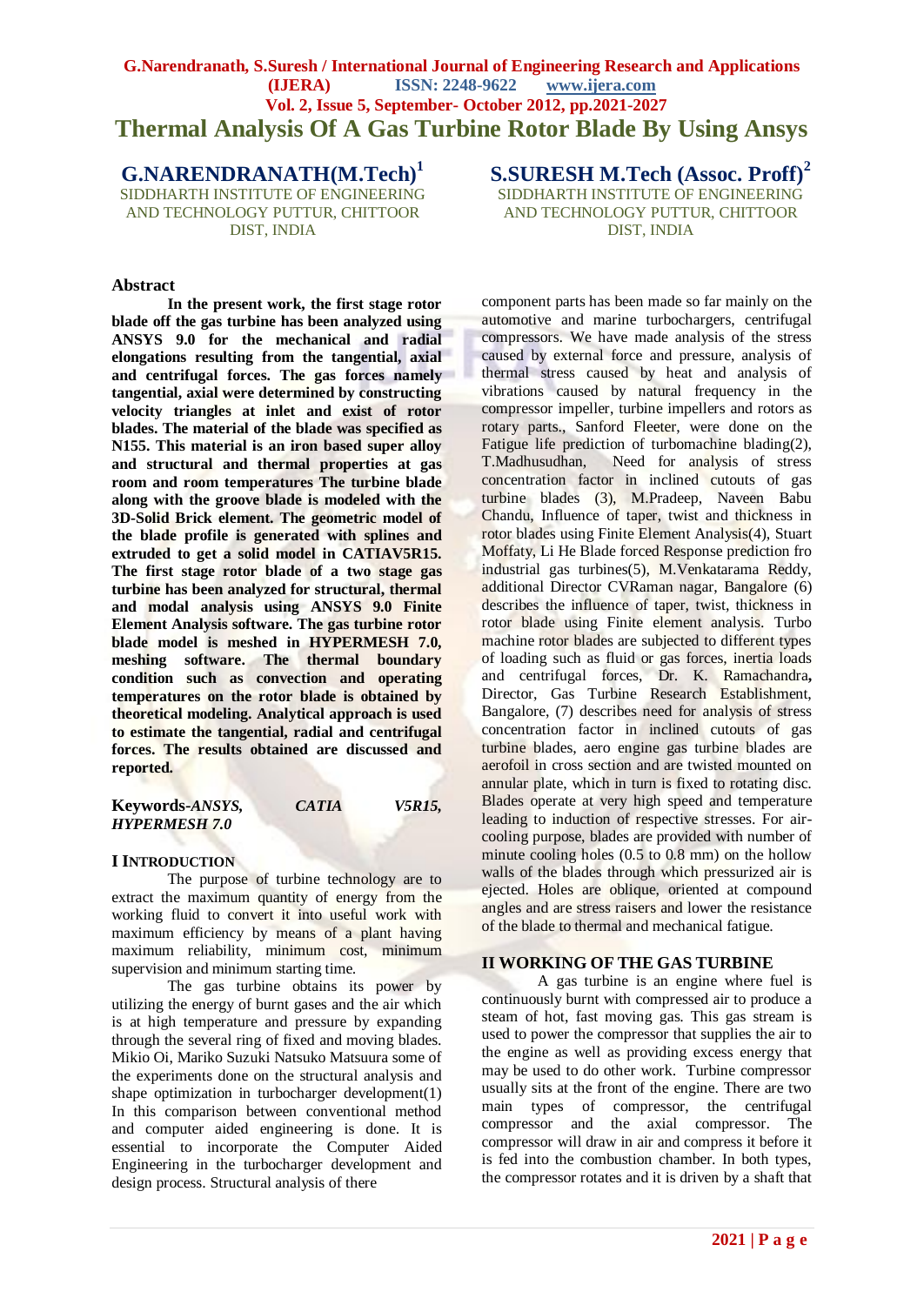# **G.Narendranath, S.Suresh / International Journal of Engineering Research and Applications (IJERA) ISSN: 2248-9622 www.ijera.com Vol. 2, Issue 5, September- October 2012, pp.2021-2027 Thermal Analysis Of A Gas Turbine Rotor Blade By Using Ansys**

**G.NARENDRANATH(M.Tech)<sup>1</sup>** SIDDHARTH INSTITUTE OF ENGINEERING AND TECHNOLOGY PUTTUR, CHITTOOR DIST, INDIA

#### **Abstract**

**In the present work, the first stage rotor blade off the gas turbine has been analyzed using ANSYS 9.0 for the mechanical and radial elongations resulting from the tangential, axial and centrifugal forces. The gas forces namely tangential, axial were determined by constructing velocity triangles at inlet and exist of rotor blades. The material of the blade was specified as N155. This material is an iron based super alloy and structural and thermal properties at gas room and room temperatures The turbine blade along with the groove blade is modeled with the 3D-Solid Brick element. The geometric model of the blade profile is generated with splines and extruded to get a solid model in CATIAV5R15. The first stage rotor blade of a two stage gas turbine has been analyzed for structural, thermal and modal analysis using ANSYS 9.0 Finite Element Analysis software. The gas turbine rotor blade model is meshed in HYPERMESH 7.0, meshing software. The thermal boundary condition such as convection and operating temperatures on the rotor blade is obtained by theoretical modeling. Analytical approach is used to estimate the tangential, radial and centrifugal forces. The results obtained are discussed and reported.**

| Keywords-ANSYS,             | <b>CATIA</b> | <i>V5R15.</i> |
|-----------------------------|--------------|---------------|
| <i><b>HYPERMESH 7.0</b></i> |              |               |

### **I INTRODUCTION**

The purpose of turbine technology are to extract the maximum quantity of energy from the working fluid to convert it into useful work with maximum efficiency by means of a plant having maximum reliability, minimum cost, minimum supervision and minimum starting time.

The gas turbine obtains its power by utilizing the energy of burnt gases and the air which is at high temperature and pressure by expanding through the several ring of fixed and moving blades. Mikio Oi, Mariko Suzuki Natsuko Matsuura some of the experiments done on the structural analysis and shape optimization in turbocharger development(1) In this comparison between conventional method and computer aided engineering is done. It is essential to incorporate the Computer Aided Engineering in the turbocharger development and design process. Structural analysis of there

**S.SURESH M.Tech (Assoc. Proff)<sup>2</sup>** SIDDHARTH INSTITUTE OF ENGINEERING AND TECHNOLOGY PUTTUR, CHITTOOR DIST, INDIA

component parts has been made so far mainly on the automotive and marine turbochargers, centrifugal compressors. We have made analysis of the stress caused by external force and pressure, analysis of thermal stress caused by heat and analysis of vibrations caused by natural frequency in the compressor impeller, turbine impellers and rotors as rotary parts., Sanford Fleeter, were done on the Fatigue life prediction of turbomachine blading(2), T.Madhusudhan, Need for analysis of stress concentration factor in inclined cutouts of gas turbine blades (3), M.Pradeep, Naveen Babu Chandu, Influence of taper, twist and thickness in rotor blades using Finite Element Analysis(4), Stuart Moffaty, Li He Blade forced Response prediction fro industrial gas turbines(5), M.Venkatarama Reddy, additional Director CVRaman nagar, Bangalore (6) describes the influence of taper, twist, thickness in rotor blade using Finite element analysis. Turbo machine rotor blades are subjected to different types of loading such as fluid or gas forces, inertia loads and centrifugal forces, Dr. K. Ramachandra**,** Director, Gas Turbine Research Establishment, Bangalore, (7) describes need for analysis of stress concentration factor in inclined cutouts of gas turbine blades, aero engine gas turbine blades are aerofoil in cross section and are twisted mounted on annular plate, which in turn is fixed to rotating disc. Blades operate at very high speed and temperature leading to induction of respective stresses. For aircooling purpose, blades are provided with number of minute cooling holes (0.5 to 0.8 mm) on the hollow walls of the blades through which pressurized air is ejected. Holes are oblique, oriented at compound angles and are stress raisers and lower the resistance of the blade to thermal and mechanical fatigue.

### **II WORKING OF THE GAS TURBINE**

A gas turbine is an engine where fuel is continuously burnt with compressed air to produce a steam of hot, fast moving gas. This gas stream is used to power the compressor that supplies the air to the engine as well as providing excess energy that may be used to do other work. Turbine compressor usually sits at the front of the engine. There are two main types of compressor, the centrifugal compressor and the axial compressor. The compressor will draw in air and compress it before it is fed into the combustion chamber. In both types, the compressor rotates and it is driven by a shaft that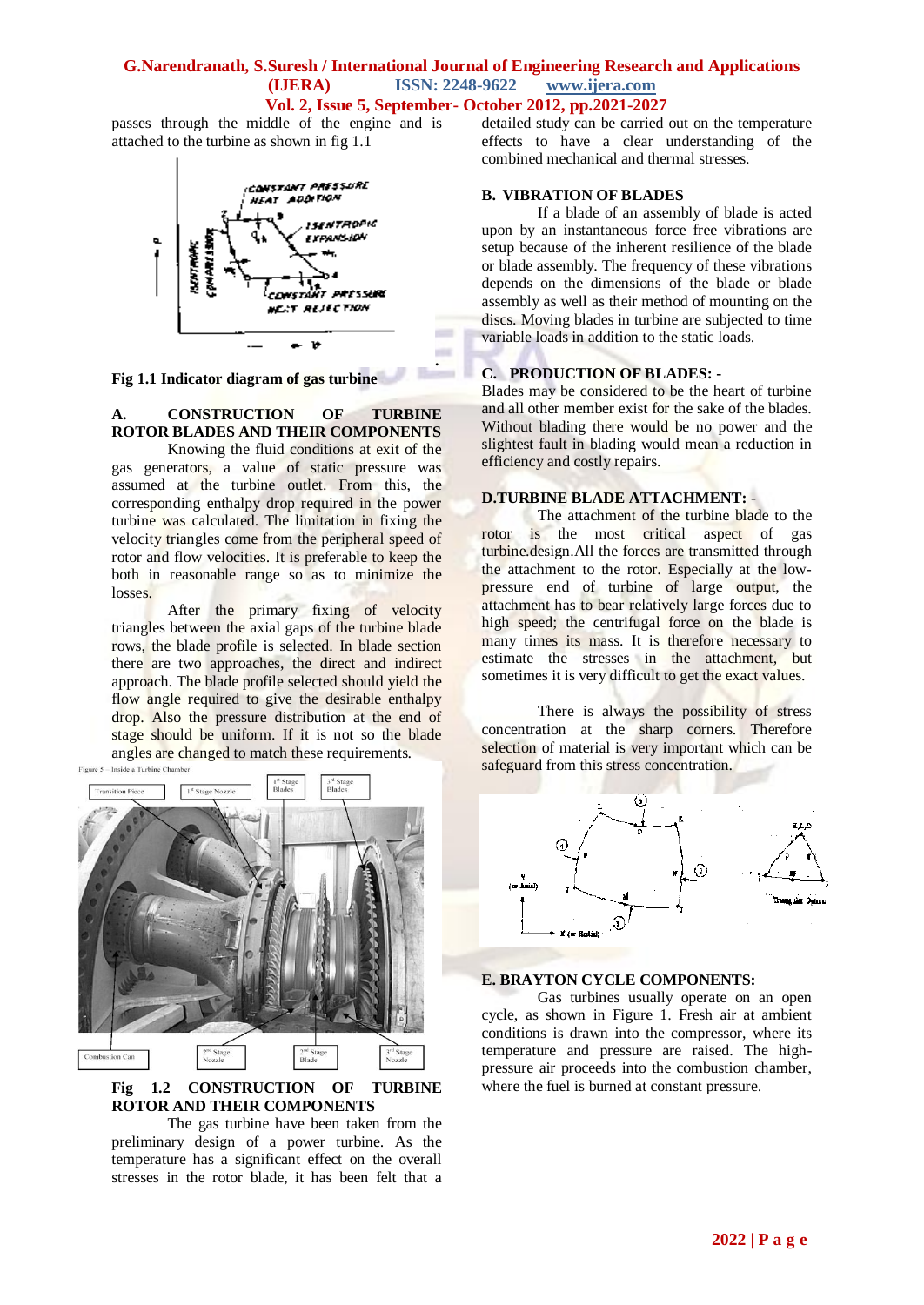**.**

**COLOR** 

passes through the middle of the engine and is attached to the turbine as shown in fig 1.1



**Fig 1.1 Indicator diagram of gas turbine**

## **A. CONSTRUCTION OF TURBINE ROTOR BLADES AND THEIR COMPONENTS**

Knowing the fluid conditions at exit of the gas generators, a value of static pressure was assumed at the turbine outlet. From this, the corresponding enthalpy drop required in the power turbine was calculated. The limitation in fixing the velocity triangles come from the peripheral speed of rotor and flow velocities. It is preferable to keep the both in reasonable range so as to minimize the losses.

After the primary fixing of velocity triangles between the axial gaps of the turbine blade rows, the blade profile is selected. In blade section there are two approaches, the direct and indirect approach. The blade profile selected should yield the flow angle required to give the desirable enthalpy drop. Also the pressure distribution at the end of stage should be uniform. If it is not so the blade angles are changed to match these requirements.



**Fig 1.2 CONSTRUCTION OF TURBINE ROTOR AND THEIR COMPONENTS**

The gas turbine have been taken from the preliminary design of a power turbine. As the temperature has a significant effect on the overall stresses in the rotor blade, it has been felt that a detailed study can be carried out on the temperature effects to have a clear understanding of the combined mechanical and thermal stresses.

## **B. VIBRATION OF BLADES**

If a blade of an assembly of blade is acted upon by an instantaneous force free vibrations are setup because of the inherent resilience of the blade or blade assembly. The frequency of these vibrations depends on the dimensions of the blade or blade assembly as well as their method of mounting on the discs. Moving blades in turbine are subjected to time variable loads in addition to the static loads.

## **C. PRODUCTION OF BLADES: -**

Blades may be considered to be the heart of turbine and all other member exist for the sake of the blades. Without blading there would be no power and the slightest fault in blading would mean a reduction in efficiency and costly repairs.

### **D.TURBINE BLADE ATTACHMENT:** *-*

The attachment of the turbine blade to the rotor is the most critical aspect of gas turbine.design.All the forces are transmitted through the attachment to the rotor. Especially at the lowpressure end of turbine of large output, the attachment has to bear relatively large forces due to high speed; the centrifugal force on the blade is many times its mass. It is therefore necessary to estimate the stresses in the attachment, but sometimes it is very difficult to get the exact values.

There is always the possibility of stress concentration at the sharp corners. Therefore selection of material is very important which can be safeguard from this stress concentration.



## **E. BRAYTON CYCLE COMPONENTS:**

Gas turbines usually operate on an open cycle, as shown in Figure 1. Fresh air at ambient conditions is drawn into the compressor, where its temperature and pressure are raised. The highpressure air proceeds into the combustion chamber, where the fuel is burned at constant pressure.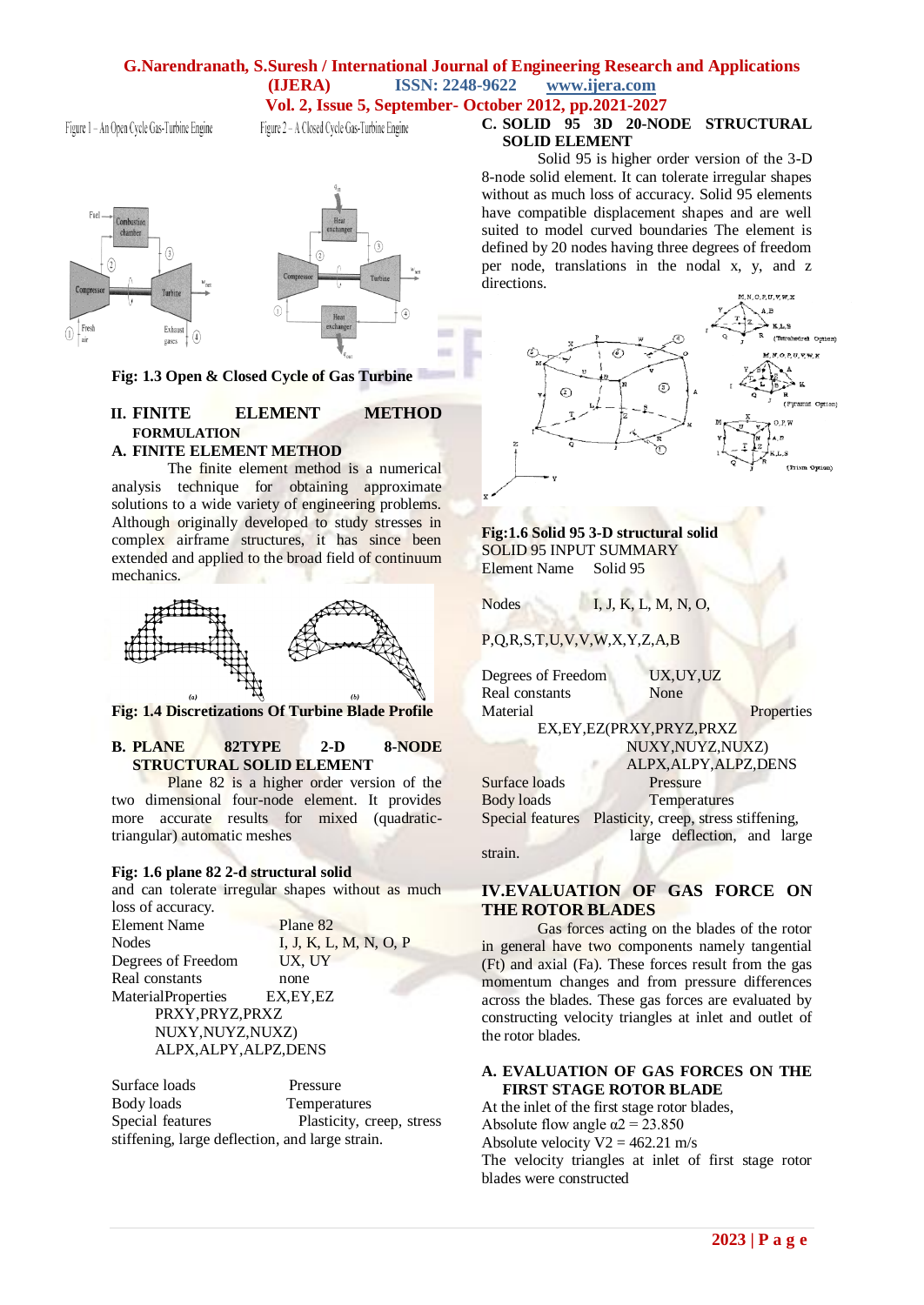-

ä.

Figure 1 - An Open Cycle Gas-Turbine Engine

Figure 2 - A Closed Cycle Gas-Turbine Engine





**Fig: 1.3 Open & Closed Cycle of Gas Turbine**

#### **II. FINITE ELEMENT METHOD FORMULATION**

### **A. FINITE ELEMENT METHOD**

The finite element method is a numerical analysis technique for obtaining approximate solutions to a wide variety of engineering problems. Although originally developed to study stresses in complex airframe structures, it has since been extended and applied to the broad field of continuum mechanics.



**Fig: 1.4 Discretizations Of Turbine Blade Profile**

## **B. PLANE 82TYPE 2-D 8-NODE STRUCTURAL SOLID ELEMENT**

Plane 82 is a higher order version of the two dimensional four-node element. It provides more accurate results for mixed (quadratictriangular) automatic meshes

### **Fig: 1.6 plane 82 2-d structural solid**

and can tolerate irregular shapes without as much loss of accuracy.

| <b>Element Name</b>    | Plane 82               |  |
|------------------------|------------------------|--|
| Nodes                  | I, J, K, L, M, N, O, P |  |
| Degrees of Freedom     | UX, UY                 |  |
| Real constants         | none                   |  |
| MaterialProperties     | EX, EY, EZ             |  |
| PRXY, PRYZ, PRXZ       |                        |  |
| NUXY, NUYZ, NUXZ)      |                        |  |
| ALPX, ALPY, ALPZ, DENS |                        |  |
|                        |                        |  |

Surface loads Pressure Body loads Temperatures Special features Plasticity, creep, stress stiffening, large deflection, and large strain.

## **C. SOLID 95 3D 20-NODE STRUCTURAL SOLID ELEMENT**

Solid 95 is higher order version of the 3-D 8-node solid element. It can tolerate irregular shapes without as much loss of accuracy. Solid 95 elements have compatible displacement shapes and are well suited to model curved boundaries The element is defined by 20 nodes having three degrees of freedom per node, translations in the nodal x, y, and z directions.



### **Fig:1.6 Solid 95 3-D structural solid** SOLID 95 INPUT SUMMARY Element Name Solid 95

Nodes **I, J, K, L, M, N, O,** 

## P,Q,R,S,T,U,V,V,W,X,Y,Z,A,B

Degrees of Freedom UX,UY,UZ Real constants None Material Properties

EX,EY,EZ(PRXY,PRYZ,PRXZ

|                   | NUXY, NUYZ, NUXZ)                                      |  |
|-------------------|--------------------------------------------------------|--|
|                   | ALPX, ALPY, ALPZ, DENS                                 |  |
| Surface loads     | Pressure                                               |  |
| <b>Body</b> loads | <b>Temperatures</b>                                    |  |
|                   | Special features Plasticity, creep, stress stiffening, |  |
|                   | large deflection, and large                            |  |
| strain.           |                                                        |  |

## **IV.EVALUATION OF GAS FORCE ON THE ROTOR BLADES**

Gas forces acting on the blades of the rotor in general have two components namely tangential (Ft) and axial (Fa). These forces result from the gas momentum changes and from pressure differences across the blades. These gas forces are evaluated by constructing velocity triangles at inlet and outlet of the rotor blades.

### **A. EVALUATION OF GAS FORCES ON THE FIRST STAGE ROTOR BLADE**

At the inlet of the first stage rotor blades, Absolute flow angle  $\alpha$ 2 = 23.850 Absolute velocity  $V2 = 462.21$  m/s The velocity triangles at inlet of first stage rotor blades were constructed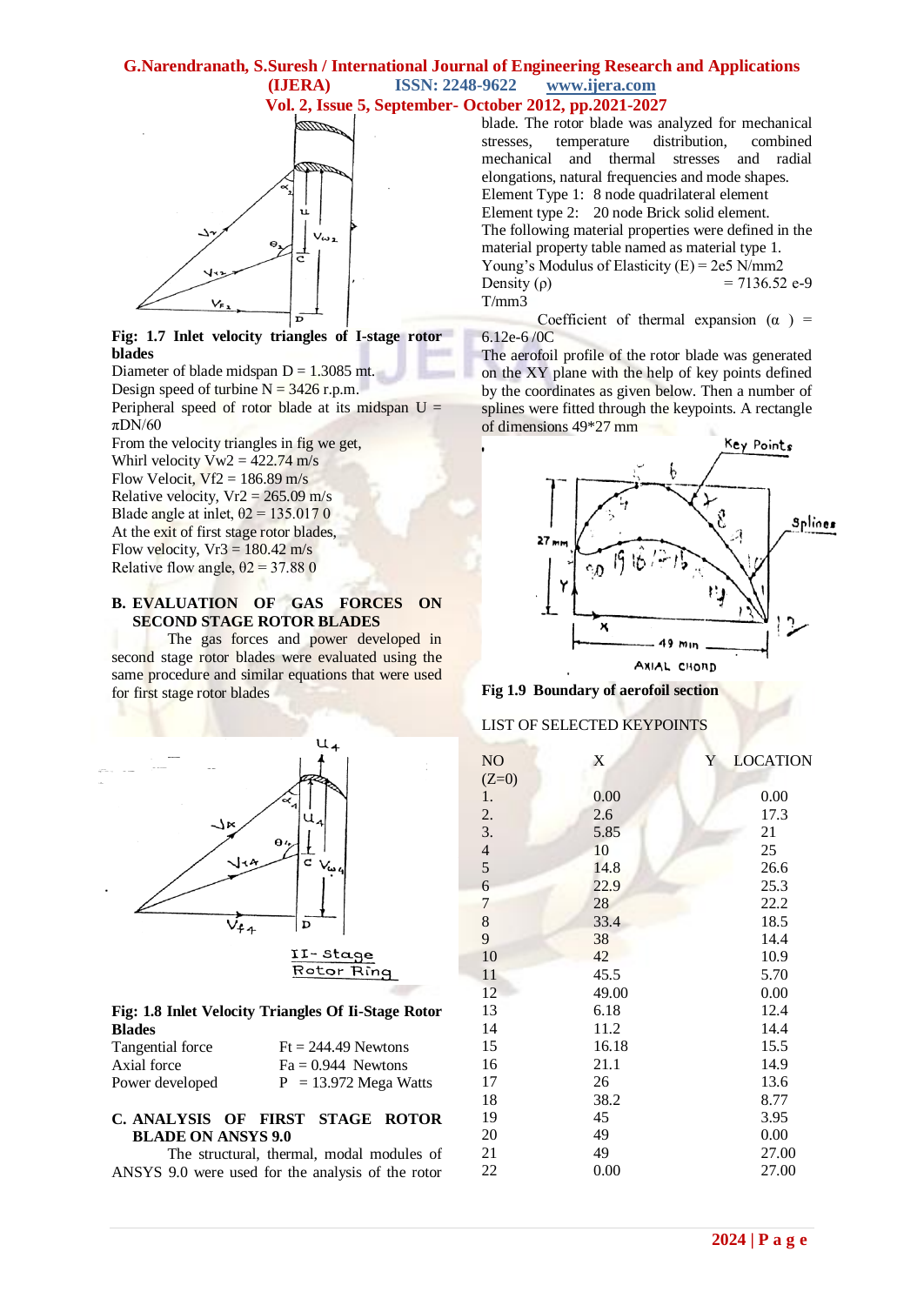

**Fig: 1.7 Inlet velocity triangles of I-stage rotor blades**

Diameter of blade midspan  $D = 1.3085$  mt. Design speed of turbine  $N = 3426$  r.p.m. Peripheral speed of rotor blade at its midspan  $U =$  $\pi$ DN/60 From the velocity triangles in fig we get,

Whirl velocity  $Vw2 = 422.74$  m/s Flow Velocit,  $Vf2 = 186.89$  m/s Relative velocity,  $Vr2 = 265.09$  m/s Blade angle at inlet,  $\theta$ 2 = 135.017 0 At the exit of first stage rotor blades, Flow velocity,  $Vr3 = 180.42$  m/s

Relative flow angle,  $\theta$ 2 = 37.88 0

### **B. EVALUATION OF GAS FORCES ON SECOND STAGE ROTOR BLADES**

The gas forces and power developed in second stage rotor blades were evaluated using the same procedure and similar equations that were used for first stage rotor blades



#### **Fig: 1.8 Inlet Velocity Triangles Of Ii-Stage Rotor Blades**

| Tangential force | $\text{Ft} = 244.49$ Newtons |
|------------------|------------------------------|
| Axial force      | $Fa = 0.944$ Newtons         |
| Power developed  | $P = 13.972$ Mega Watts      |

#### **C. ANALYSIS OF FIRST STAGE ROTOR BLADE ON ANSYS 9.0**

The structural, thermal, modal modules of ANSYS 9.0 were used for the analysis of the rotor

blade. The rotor blade was analyzed for mechanical stresses, temperature distribution, combined mechanical and thermal stresses and radial elongations, natural frequencies and mode shapes. Element Type 1: 8 node quadrilateral element Element type 2: 20 node Brick solid element. The following material properties were defined in the material property table named as material type 1. Young's Modulus of Elasticity  $(E) = 2e5$  N/mm2 Density (ρ)  $= 7136.52 \text{ e-9}$ T/mm3

Coefficient of thermal expansion  $(\alpha)$  = 6.12e-6 /0C

The aerofoil profile of the rotor blade was generated on the XY plane with the help of key points defined by the coordinates as given below. Then a number of splines were fitted through the keypoints. A rectangle of dimensions 49\*27 mm





## LIST OF SELECTED KEYPOINTS

| NO                      | X     | Y<br><b>LOCATION</b> |
|-------------------------|-------|----------------------|
| $(Z=0)$                 |       |                      |
| 1.                      | 0.00  | 0.00                 |
| 2.                      | 2.6   | 17.3                 |
| 3.                      | 5.85  | 21                   |
| $\overline{\mathbf{4}}$ | 10    | 25                   |
| 5                       | 14.8  | 26.6                 |
| 6                       | 22.9  | 25.3                 |
| 7                       | 28    | 22.2                 |
| $\,8$                   | 33.4  | 18.5                 |
| 9                       | 38    | 14.4                 |
| 10                      | 42    | 10.9                 |
| 11                      | 45.5  | 5.70                 |
| 12                      | 49.00 | 0.00                 |
| 13                      | 6.18  | 12.4                 |
| 14                      | 11.2  | 14.4                 |
| 15                      | 16.18 | 15.5                 |
| 16                      | 21.1  | 14.9                 |
| 17                      | 26    | 13.6                 |
| 18                      | 38.2  | 8.77                 |
| 19                      | 45    | 3.95                 |
| 20                      | 49    | 0.00                 |
| 21                      | 49    | 27.00                |
| 22                      | 0.00  | 27.00                |
|                         |       |                      |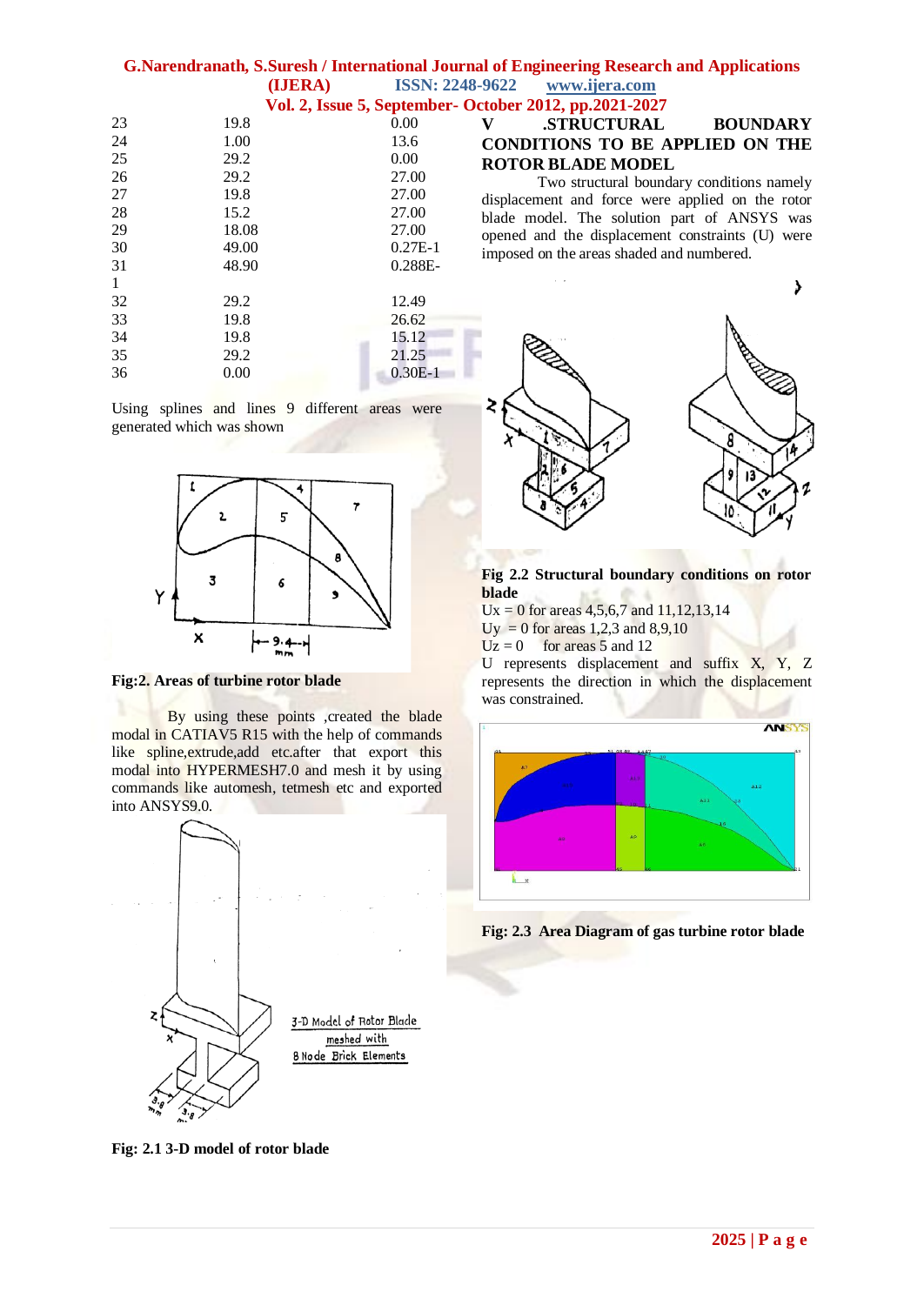|    |       | Vol. 2, Issue 5, September- |
|----|-------|-----------------------------|
| 23 | 19.8  | 0.00                        |
| 24 | 1.00  | 13.6                        |
| 25 | 29.2  | 0.00                        |
| 26 | 29.2  | 27.00                       |
| 27 | 19.8  | 27.00                       |
| 28 | 15.2  | 27.00                       |
| 29 | 18.08 | 27.00                       |
| 30 | 49.00 | $0.27E-1$                   |
| 31 | 48.90 | $0.288E -$                  |
| 1  |       |                             |
| 32 | 29.2  | 12.49                       |
| 33 | 19.8  | 26.62                       |
| 34 | 19.8  | 15.12                       |
| 35 | 29.2  | 21.25                       |
| 36 | 0.00  | $0.30E-1$                   |
|    |       |                             |

Using splines and lines 9 different areas were generated which was shown



#### **Fig:2. Areas of turbine rotor blade**

By using these points ,created the blade modal in CATIAV5 R15 with the help of commands like spline,extrude,add etc.after that export this modal into HYPERMESH7.0 and mesh it by using commands like automesh, tetmesh etc and exported into ANSYS9.0.



**Fig: 2.1 3-D model of rotor blade**

## **V .STRUCTURAL BOUNDARY CONDITIONS TO BE APPLIED ON THE ROTOR BLADE MODEL**

Two structural boundary conditions namely displacement and force were applied on the rotor blade model. The solution part of ANSYS was opened and the displacement constraints (U) were imposed on the areas shaded and numbered.



**Fig 2.2 Structural boundary conditions on rotor blade**

Ux = 0 for areas  $4,5,6,7$  and  $11,12,13,14$ 

- Uy = 0 for areas 1,2,3 and  $8,9,10$
- $Uz = 0$  for areas 5 and 12

U represents displacement and suffix X, Y, Z represents the direction in which the displacement was constrained.



**Fig: 2.3 Area Diagram of gas turbine rotor blade**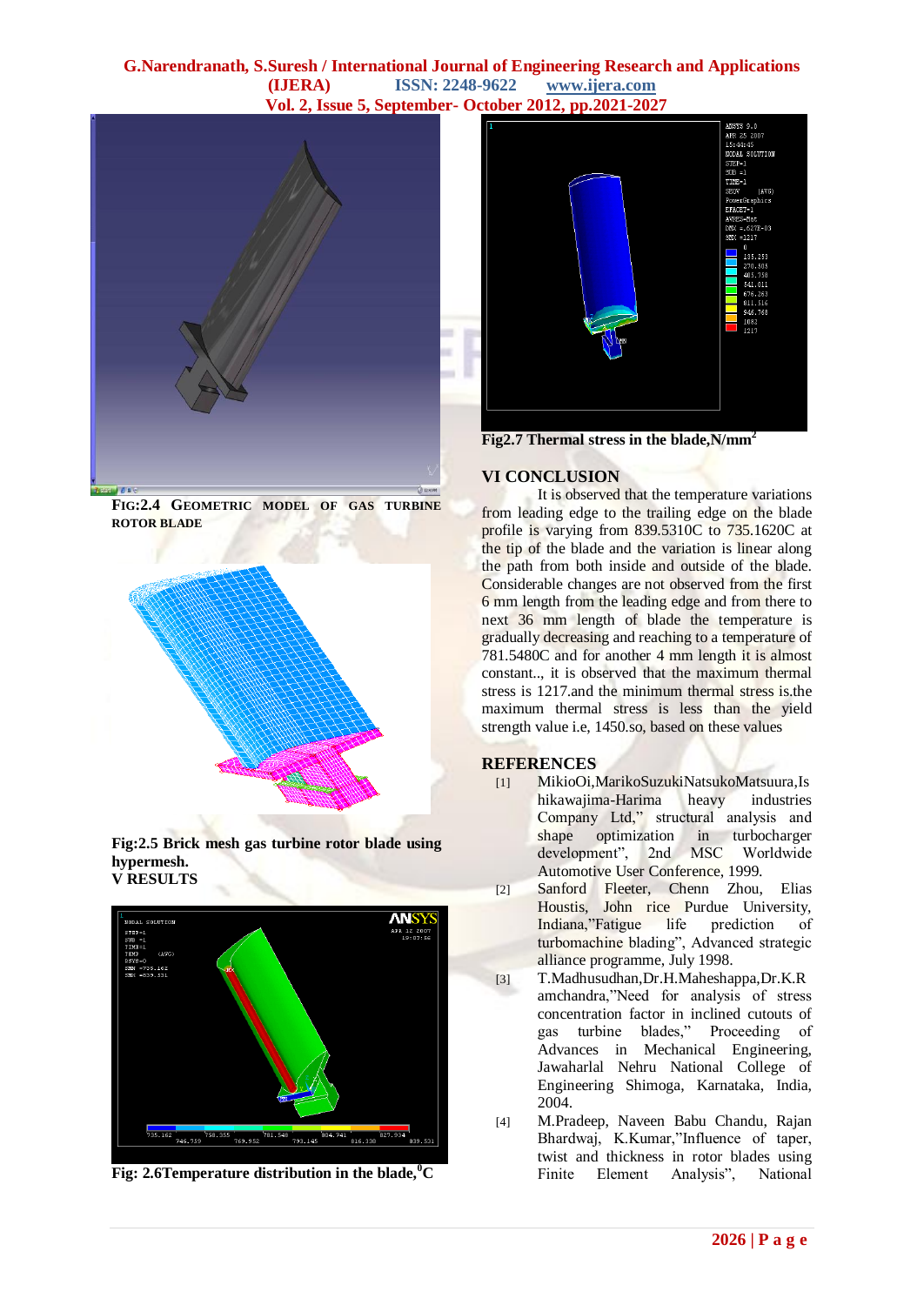

**FIG:2.4 GEOMETRIC MODEL OF GAS TURBINE ROTOR BLADE**



**Fig:2.5 Brick mesh gas turbine rotor blade using hypermesh. V RESULTS**



**Fig: 2.6Temperature distribution in the blade,<sup>0</sup>C**



**Fig2.7 Thermal stress in the blade,N/mm<sup>2</sup>**

## **VI CONCLUSION**

It is observed that the temperature variations from leading edge to the trailing edge on the blade profile is varying from 839.5310C to 735.1620C at the tip of the blade and the variation is linear along the path from both inside and outside of the blade. Considerable changes are not observed from the first 6 mm length from the leading edge and from there to next 36 mm length of blade the temperature is gradually decreasing and reaching to a temperature of 781.5480C and for another 4 mm length it is almost constant.., it is observed that the maximum thermal stress is 1217.and the minimum thermal stress is.the maximum thermal stress is less than the yield strength value i.e, 1450.so, based on these values

## **REFERENCES**

- [1] MikioOi,MarikoSuzukiNatsukoMatsuura,Is hikawajima-Harima heavy industries Company Ltd," structural analysis and shape optimization in turbocharger development", 2nd MSC Worldwide Automotive User Conference, 1999.
- [2] Sanford Fleeter, Chenn Zhou, Elias Houstis, John rice Purdue University, Indiana,"Fatigue life prediction of turbomachine blading", Advanced strategic alliance programme, July 1998.
- [3] T.Madhusudhan,Dr.H.Maheshappa,Dr.K.R amchandra,"Need for analysis of stress concentration factor in inclined cutouts of gas turbine blades," Proceeding of Advances in Mechanical Engineering, Jawaharlal Nehru National College of Engineering Shimoga, Karnataka, India, 2004.
- [4] M.Pradeep, Naveen Babu Chandu, Rajan Bhardwaj, K.Kumar,"Influence of taper, twist and thickness in rotor blades using Finite Element Analysis", National